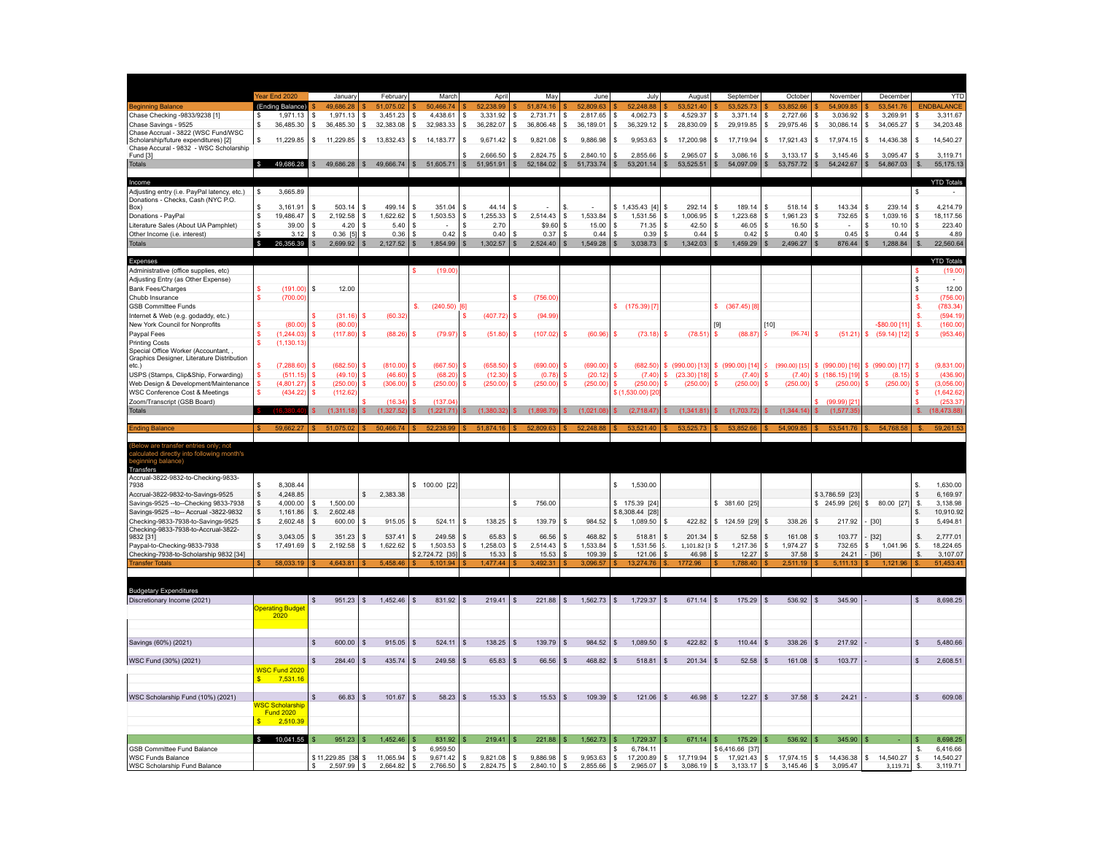|                                                                                                          | ear End 2020                     | January                             | February                  | March                           | April                      | May                                   | June                                 | July                                              | August                          | September                                  | October                          | November                            | December                          | <b>YTD</b>                          |
|----------------------------------------------------------------------------------------------------------|----------------------------------|-------------------------------------|---------------------------|---------------------------------|----------------------------|---------------------------------------|--------------------------------------|---------------------------------------------------|---------------------------------|--------------------------------------------|----------------------------------|-------------------------------------|-----------------------------------|-------------------------------------|
| leginning Balance                                                                                        | (Ending Balance)                 | 49.686.28                           | 51.075.02                 | 50,466.74                       | 52,238.99                  | 51,874.16                             | 52,809.63                            | 52,248.88                                         | 53.521.40                       | 53.525.73                                  | 53.852.66                        | 54,909.85                           | 53.541.76                         | <b>ENDBALANCE</b>                   |
| Chase Checking -9833/9238 [1]                                                                            | 1,971.13                         | 1,971.13<br>\$                      | l \$<br>3,451.23          | 4,438.61<br>\$                  | S,<br>3,331.92             | l \$<br>2,731.71                      | $\sqrt{2}$<br>2,817.65               | $\mathbb S$<br>4,062.73                           | S<br>4,529.37                   | s<br>3,371.14                              | s<br>2,727.66                    | \$<br>3,036.92                      | \$<br>3,269.91                    | 3,311.67<br>\$                      |
| Chase Savings - 9525                                                                                     | 36,485.30<br>s                   | s<br>36,485.30                      | 32,383.08<br>s            | s<br>32,983.33                  | -S<br>36,282.07            | -S<br>36,806.48                       | -S<br>36,189.01                      | l S<br>36,329.12                                  | 28,830.09<br>'S                 | 29,919.85<br>s                             | 29,975.46<br>s                   | s.<br>30,086.14                     | 34,065.27<br><b>S</b>             | l s<br>34,203.48                    |
| Chase Accrual - 3822 (WSC Fund/WSC                                                                       |                                  |                                     |                           |                                 |                            |                                       |                                      |                                                   |                                 |                                            |                                  |                                     |                                   |                                     |
| Scholarship/future expenditures) [2]<br>Chase Accural - 9832 - WSC Scholarship                           | 11,229.85<br>$\mathsf{s}$        | 11,229.85<br>s.                     | l S<br>13,832.43          | l \$<br>14,183.77               | $9,671.42$ \$<br>l \$      | 9,821.08                              | 9,886.98<br>ΙS                       | 9,953.63<br><b>S</b>                              | 17,200.98<br>'S                 | 17,719.94<br>s                             | \$<br>17,921.43                  | \$<br>17,974.15                     | 14,436.38<br>l S                  | 14,540.27<br>IS.                    |
| Fund [3]                                                                                                 |                                  |                                     |                           |                                 | 2,666.50                   | 2,824.75                              | 2,840.10                             | 2,855.66<br>s                                     | 2,965.07                        | 3,086.16                                   | 3,133.17                         | \$<br>3,145.46                      | 3,095.47                          | 3,119.71                            |
| <b>Totals</b>                                                                                            | 49,686.28                        | 49.686.28                           | 49,666.74<br>$\mathbb{S}$ | $\mathbf{s}$<br>51,605.71       | $\frac{1}{2}$<br>51,951.91 | $\mathbf{s}$<br>52,184.02             | $\mathbb{S}$<br>51,733.74            | $\mathbb{S}$<br>53,201.14                         | $\mathsf{\$}$<br>53,525.51      | $\mathbf{s}$<br>54,097.09                  | S<br>53,757.72                   | $\frac{1}{2}$<br>54,242.67          | \$<br>54,867.03                   | \$.<br>55,175.13                    |
|                                                                                                          |                                  |                                     |                           |                                 |                            |                                       |                                      |                                                   |                                 |                                            |                                  |                                     |                                   |                                     |
| Income                                                                                                   |                                  |                                     |                           |                                 |                            |                                       |                                      |                                                   |                                 |                                            |                                  |                                     |                                   | <b>YTD Totals</b>                   |
| Adjusting entry (i.e. PayPal latency, etc.)                                                              | 3,665.89<br>S                    |                                     |                           |                                 |                            |                                       |                                      |                                                   |                                 |                                            |                                  |                                     |                                   | -S                                  |
| Donations - Checks, Cash (NYC P.O.<br>Box)                                                               | 3,161.91                         | 503.14<br>s                         | \$<br>499.14              | S<br>351.04                     | 44.14<br>\$                |                                       | \$.                                  | $$1,435.43$ [4]                                   | 292.14<br>S                     | 189.14<br>-S                               | s<br>518.14                      | \$<br>143.34                        | 239.14<br>\$.                     | 4,214.79                            |
| Donations - PayPal                                                                                       | 19,486.47                        | 2,192.58<br>s                       | 1,622.62<br>s             | 1,503.53<br>S                   | 1,255.33                   | 2,514.43                              | 1,533.84<br>l S                      | s<br>1,531.56                                     | s<br>1,006.95                   | 1,223.68                                   | 1,961.23<br>s                    | 732.65<br>S                         | 1,039.16<br>S                     | 18,117.56                           |
| Literature Sales (About UA Pamphlet)                                                                     | 39.00                            | 4.20<br>s                           | 5.40<br>S                 | S                               | 2.70                       | \$9.60                                | 15.00<br>s                           | 71.35<br>s                                        | 42.50<br>S                      | 46.05                                      | 16.50<br>s                       | S                                   | 10.10                             | 223.40                              |
| Other Income (i.e. interest)                                                                             | 3.12                             | $0.36$ [5]<br>£.                    | 0.36<br>\$.               | 0.42<br>S                       | 0.40                       | 0.37                                  | 0.44<br>- 8                          | <b>S</b><br>0.39                                  | S.<br>0.44                      | 0.42<br>S.                                 | s<br>0.40                        | 0.45<br>-S                          | 0.44<br>$\mathcal{S}$             | 4.89                                |
| <b>Totals</b>                                                                                            | 26,356.39<br>$\mathcal{S}$       | 2,699.92                            | $\mathbf{s}$<br>2,127.52  | S.<br>1,854.99                  | 1,302.57<br>\$             | 2,524.40                              | $\mathsf{s}$<br>1,549.28             | $\mathbf{s}$<br>3,038.73                          | $\mathbf{s}$<br>1,342.03        | 1,459.29<br>S                              | $\mathsf{s}$<br>2,496.27         | $\mathbb{S}$<br>876.44              | 1,288.84<br>\$                    | $S$ .<br>22,560.64                  |
|                                                                                                          |                                  |                                     |                           |                                 |                            |                                       |                                      |                                                   |                                 |                                            |                                  |                                     |                                   |                                     |
| <b>Expenses</b>                                                                                          |                                  |                                     |                           |                                 |                            |                                       |                                      |                                                   |                                 |                                            |                                  |                                     |                                   | <b>YTD Totals</b>                   |
| Administrative (office supplies, etc)                                                                    |                                  |                                     |                           | (19.00)<br>s                    |                            |                                       |                                      |                                                   |                                 |                                            |                                  |                                     |                                   | (19.00)                             |
| Adjusting Entry (as Other Expense)                                                                       |                                  |                                     |                           |                                 |                            |                                       |                                      |                                                   |                                 |                                            |                                  |                                     |                                   |                                     |
| <b>Bank Fees/Charges</b><br>Chubb Insurance                                                              | (191.00)<br>(700.00)             | s<br>12.00                          |                           |                                 |                            | (756.00                               |                                      |                                                   |                                 |                                            |                                  |                                     |                                   | 12.00<br>(756.00                    |
| <b>GSB Committee Funds</b>                                                                               |                                  |                                     |                           | $(240.50)$ [6]<br>\$.           |                            |                                       |                                      | \$(175.39) [7]                                    |                                 | \$ (367.45) [8]                            |                                  |                                     |                                   | (783.34)                            |
| Internet & Web (e.g. godaddy, etc.)                                                                      |                                  | (31.16)                             | (60.32)<br>s              |                                 | (407.72)                   | (94.99)                               |                                      |                                                   |                                 |                                            |                                  |                                     |                                   | (594.19)<br>s.                      |
| New York Council for Nonprofits                                                                          | (80,00)                          | (80.00)<br><b>s</b>                 |                           |                                 |                            |                                       |                                      |                                                   |                                 |                                            | $[10]$                           |                                     | -\$80.00 [11                      | (160.00)<br>-S.                     |
| Paypal Fees                                                                                              | (1.244.03)                       | (117.80)<br>s                       | (88.26)<br>s              | (79.97)                         | (51.80)                    | (107.02)                              | (60.96)<br>s                         | (73.18)<br>s                                      | (78.51)<br>-S                   | (88.87)<br>s                               | (96.74)                          | s<br>$(51.21)$ \$                   | $(59.14)$ [12                     | (953.46)                            |
| <b>Printing Costs</b>                                                                                    | (1, 130.13)                      |                                     |                           |                                 |                            |                                       |                                      |                                                   |                                 |                                            |                                  |                                     |                                   |                                     |
| Special Office Worker (Accountant, ,                                                                     |                                  |                                     |                           |                                 |                            |                                       |                                      |                                                   |                                 |                                            |                                  |                                     |                                   |                                     |
| Graphics Designer, Literature Distribution<br>etc.)                                                      | (7, 288.60)                      | (682.50)<br>s                       | (810.00)<br>\$            | (667.50)<br>Ś                   | (658.50)                   | (690.00)                              | (690.00)<br>s                        | (682.50)<br>s                                     | \$ (990.00) [13]                | \$ (990.00) [14]                           | \$ (990.00) [15]                 |                                     | \$ (990.00) [16] \$ (990.00) [17] | (9,831.00)                          |
| USPS (Stamps, Clip&Ship, Forwarding)                                                                     | (511.15                          | (49.10)                             | (46.60)                   | (68.20)                         | (12.30)                    | (0.78)                                | (20.12)                              | (7.40)                                            | \$ (23.30) [18]                 | (7.40)                                     | s<br>(7.40)                      | \$(186.15)[19]                      | S<br>(8.15)                       | (436.90)                            |
| Web Design & Development/Maintenance                                                                     | (4,801.27)                       | (250.00)                            | (306.00)                  | (250.00)                        | (250.00)                   | (250.00)                              | (250.00)                             | (250.00)                                          | (250.00)                        | (250.00)                                   | (250.00)<br>s                    | (250.00)<br>S                       | (250.00)                          | (3,056.00)                          |
| WSC Conference Cost & Meetings                                                                           | (434.22)                         | (112.62)                            |                           |                                 |                            |                                       |                                      | \$(1,530.00)[2                                    |                                 |                                            |                                  |                                     |                                   | (1,642.62)                          |
| Zoom/Transcript (GSB Board)                                                                              |                                  |                                     | (16.34)                   | (137.0                          |                            |                                       |                                      |                                                   |                                 |                                            |                                  | $(99.99)$ <sup>[2]</sup>            |                                   | (253.37)                            |
| <b>Totals</b>                                                                                            |                                  | (1,311.18)                          | (1,327.5)                 | (1,221.71)                      | (1.380.3)                  | (1.898.79                             | (1.021.0)                            | (2.718.47                                         | (1.341.81)                      | (1,703.72)                                 | (1.344.14)                       | (1.577.3)<br>\$.                    |                                   | (18, 473.88)<br>s.                  |
|                                                                                                          |                                  |                                     |                           |                                 |                            |                                       |                                      |                                                   |                                 |                                            |                                  |                                     |                                   |                                     |
|                                                                                                          |                                  |                                     |                           |                                 |                            |                                       |                                      |                                                   |                                 |                                            |                                  |                                     |                                   |                                     |
| <b>Ending Balance</b>                                                                                    | 59,662                           |                                     |                           | 52.238.99                       | 51.874.                    | 52,809                                | 52,248.8                             |                                                   | 53,525                          | 53,852.66                                  | 54,909.85                        | 53,541.76                           | 54,768.5                          | 59,261.5                            |
|                                                                                                          |                                  |                                     |                           |                                 |                            |                                       |                                      |                                                   |                                 |                                            |                                  |                                     |                                   |                                     |
|                                                                                                          |                                  |                                     |                           |                                 |                            |                                       |                                      |                                                   |                                 |                                            |                                  |                                     |                                   |                                     |
| Below are transfer entries only; not<br>:alculated directly into following month's<br>:eginning balance) |                                  |                                     |                           |                                 |                            |                                       |                                      |                                                   |                                 |                                            |                                  |                                     |                                   |                                     |
| Transfers<br>Accrual-3822-9832-to-Checking-9833-                                                         |                                  |                                     |                           |                                 |                            |                                       |                                      |                                                   |                                 |                                            |                                  |                                     |                                   |                                     |
| 7938                                                                                                     | 8,308.44                         |                                     |                           | \$100.00 [22]                   |                            |                                       |                                      | S<br>1,530.00                                     |                                 |                                            |                                  |                                     |                                   | 1,630.00                            |
| Accrual-3822-9832-to-Savings-9525                                                                        | \$<br>4,248.85                   |                                     | 2,383.38<br>\$.           |                                 |                            |                                       |                                      |                                                   |                                 |                                            |                                  | \$3,786.59 [23]                     |                                   | 6,169.97<br>$\mathbf{s}$            |
| Savings-9525 -- to -- Checking 9833-7938                                                                 | 4,000.00<br>S                    | 1,500.00<br>s                       |                           |                                 |                            | 756.00                                |                                      | \$ 175.39 [24]                                    |                                 | \$ 381.60 [25]                             |                                  |                                     | \$ 245.99 [26] \$ 80.00 [27]      | 3,138.98<br>- S.                    |
| Savings-9525 -- to-- Accrual -3822-9832                                                                  | <sub>S</sub><br>1,161.86         | \$.<br>2,602.48                     |                           |                                 |                            |                                       |                                      | \$8,308.44 [28]                                   |                                 |                                            |                                  |                                     |                                   | 10,910.92<br>S.                     |
| Checking-9833-7938-to-Savings-9525                                                                       | 2,602.48<br>S                    | s<br>600.00                         | \$<br>915.05              | 524.11<br>s                     | 138.25                     | 139.79<br>- \$                        | 984.52<br>-S                         | s<br>1,089.50                                     | 422.82<br>-S                    | 124.59 [29]<br>s                           | 338.26<br>s                      | 217.92<br>\$                        | $[30]$                            | 5,494.81                            |
| Checking-9833-7938-to-Accrual-3822-<br>9832 [31]                                                         | 3.043.05<br>\$                   | 351.23<br>\$.                       | 537.41<br>\$.             | 249.58<br>S                     | 65.83<br><b>S</b>          | 66.56                                 | 468.82<br><b>S</b>                   | 518.81<br>S                                       | 201.34<br>S                     | 52.58<br>s.                                | 161.08<br>s.                     | 103.77<br>S.                        | $[32]$                            | 2,777.01<br>S.                      |
| Paypal-to-Checking-9833-7938                                                                             | 17,491.69<br>S                   | 2,192.58<br>\$.                     | 1,622.62<br>S.            | 1.503.53<br>\$.                 | 1.258.03<br>- \$           | 2.514.43<br>- 53                      | 1.533.84<br>l s                      | 1.531.56<br><b>s</b>                              | 1,101.82 [3 \$<br>Ś.            | 1.217.36                                   | 1.974.27<br>s                    | \$.<br>732.65                       | 1,041.96<br>-S                    | 18.224.65<br>S.                     |
| Checking-7938-to-Scholarship 9832 [34]                                                                   |                                  |                                     |                           | \$2,724.72 [35] \$              | 15.33                      | $15.53$ \$                            | 109.39                               | 121.06<br><b>S</b>                                | $46.98$ \ \$                    | 12.27                                      | 37.58                            | \$                                  | $24.21$ - [36]                    | 3,107.07<br>S.                      |
| <b>Transfer Totals</b>                                                                                   | 58,033.19                        | 4.643.81                            | 5.458.46                  | £.<br>5.101.94                  | 477.44                     | 3.492.31                              | 3.096.57                             | 13.274.76<br><b>S</b>                             | 1772.96                         | 1.788.40                                   | 2.511.19                         | 5,111.13                            |                                   | 51,453.4'                           |
|                                                                                                          |                                  |                                     |                           |                                 |                            |                                       |                                      |                                                   |                                 |                                            |                                  |                                     |                                   |                                     |
|                                                                                                          |                                  |                                     |                           |                                 |                            |                                       |                                      |                                                   |                                 |                                            |                                  |                                     |                                   |                                     |
| <b>Budgetary Expenditures</b>                                                                            |                                  |                                     |                           |                                 |                            |                                       |                                      |                                                   |                                 |                                            |                                  |                                     |                                   |                                     |
| Discretionary Income (2021)                                                                              | <b>Operating Budget</b>          | 951.23                              | 1,452.46<br>$\mathbb{S}$  | 831.92                          | 219.41                     | 221.88                                | 1,562.73<br>S.                       | $\sqrt{5}$<br>1,729.37                            | 671.14                          | 175.29                                     | 536.92                           | 345.90                              |                                   | 8,698.25                            |
|                                                                                                          | 2020                             |                                     |                           |                                 |                            |                                       |                                      |                                                   |                                 |                                            |                                  |                                     |                                   |                                     |
|                                                                                                          |                                  |                                     |                           |                                 |                            |                                       |                                      |                                                   |                                 |                                            |                                  |                                     |                                   |                                     |
|                                                                                                          |                                  |                                     |                           |                                 |                            |                                       |                                      |                                                   |                                 |                                            |                                  |                                     |                                   |                                     |
| Savings (60%) (2021)                                                                                     |                                  | 600.00                              | 915.05<br>\$              | 524.11                          | 138.25                     | 139.79                                | 984.52                               | 1,089.50<br>S                                     | 422.82                          | 110.44                                     | 338.26                           | 217.92<br>$\mathbb{S}$              |                                   | 5,480.66<br>$\mathbb{S}$            |
|                                                                                                          |                                  |                                     | \$                        |                                 | \$                         |                                       | S                                    | S                                                 |                                 |                                            |                                  | \$                                  |                                   |                                     |
| WSC Fund (30%) (2021)                                                                                    | WSC Fund 2020                    | 284.40                              | 435.74                    | 249.58                          | 65.83                      | 66.56                                 | 468.82                               | 518.81                                            | 201.34                          | 52.58                                      | 161.08                           | 103.77                              |                                   | 2,608.51                            |
|                                                                                                          | 7,531.16<br>S.                   |                                     |                           |                                 |                            |                                       |                                      |                                                   |                                 |                                            |                                  |                                     |                                   |                                     |
|                                                                                                          |                                  |                                     |                           |                                 |                            |                                       |                                      |                                                   |                                 |                                            |                                  |                                     |                                   |                                     |
| WSC Scholarship Fund (10%) (2021)                                                                        |                                  | 66.83<br>s                          | $\mathbb{S}$<br>101.67    | 58.23<br>\$                     | 15.33<br>\$                | 15.53                                 | 109.39<br><b>S</b>                   | 121.06<br>S                                       | 46.98<br>S                      | 12.27                                      | 37.58<br>s                       | 24.21<br>\$                         |                                   | 609.08                              |
|                                                                                                          | <b>WSC Scholarship</b>           |                                     |                           |                                 |                            |                                       |                                      |                                                   |                                 |                                            |                                  |                                     |                                   |                                     |
|                                                                                                          | <b>Fund 2020</b><br>$\mathbf{s}$ |                                     |                           |                                 |                            |                                       |                                      |                                                   |                                 |                                            |                                  |                                     |                                   |                                     |
|                                                                                                          | 2,510.39                         |                                     |                           |                                 |                            |                                       |                                      |                                                   |                                 |                                            |                                  |                                     |                                   |                                     |
|                                                                                                          | \$ 10,041.55                     | $951.23$   \$                       | 1.452.46                  | 831.92<br><b>S</b>              | 219.41                     | $221.88$ S                            | $1,562.73$ \$                        | 1,729.37                                          | $671.14$ S<br><b>S</b>          | 175.29                                     | 536.92<br>-S                     | $345.90$ $\sqrt{5}$<br>$\mathbf{s}$ |                                   | 8.698.25<br>S.                      |
| GSB Committee Fund Balance                                                                               |                                  |                                     |                           | 6,959.50<br>s                   |                            |                                       |                                      | 6,784.11<br>s                                     |                                 | \$6,416.66 [37]                            |                                  |                                     |                                   | 6,416.66<br>S.                      |
| <b>WSC Funds Balance</b><br><b>WSC Scholarship Fund Balance</b>                                          |                                  | \$11,229.85 [38 \$<br>$2,597.99$ \$ | 11,065.94<br>2,664.82     | S.<br>9,671.42<br>2,766.50<br>s | 9,821.08<br>s<br>2,824.75  | 9,886.98<br>S.<br>$2,840.10$ \$<br>S. | $\mathbf{s}$<br>9,953.63<br>2,855.66 | $\mathsf{s}$<br>17,200.89<br><b>S</b><br>2,965.07 | s<br>17,719.94<br>S<br>3,086.19 | $\mathsf{s}$<br>17,921.43<br>S<br>3,133.17 | s<br>17,974.15<br>\$<br>3,145.46 | \$<br>14,436.38<br>3,095.47<br>\$   | \$ 14,540.27<br>3,119.71          | 14,540.27<br>-S<br>3,119.71<br>- S. |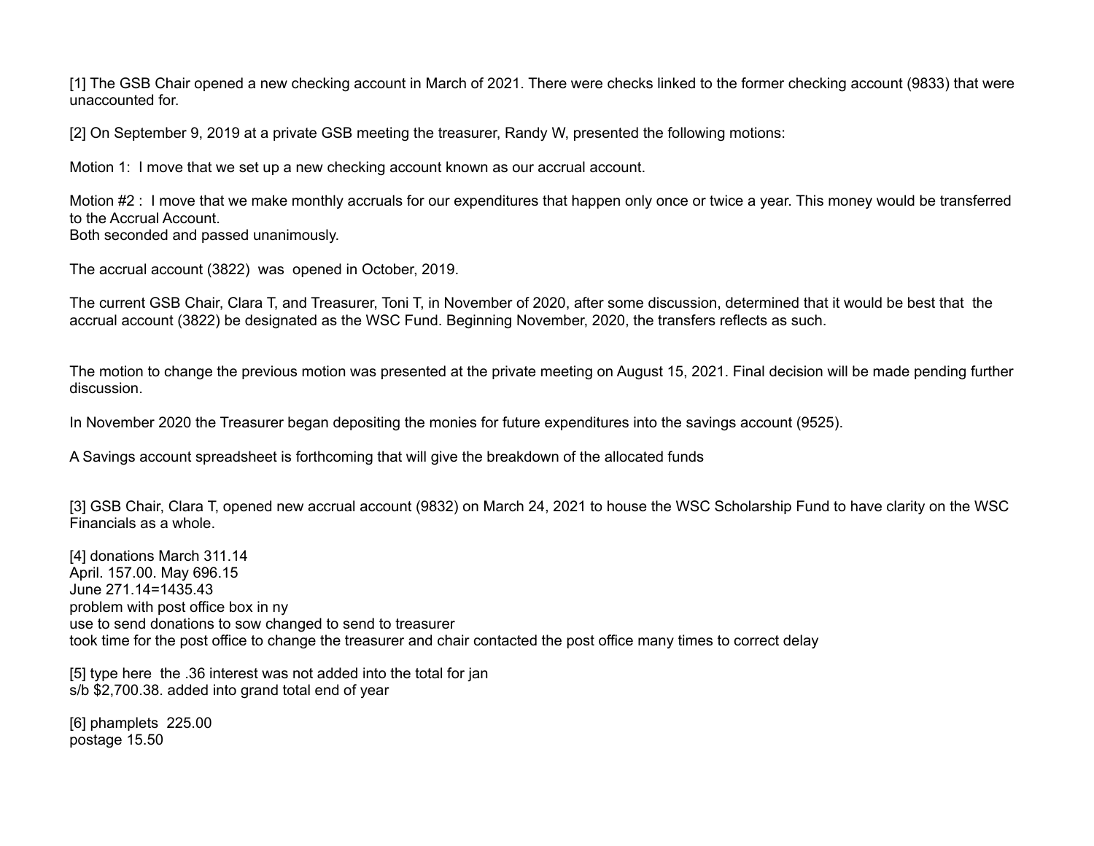[1] The GSB Chair opened a new checking account in March of 2021. There were checks linked to the former checking account (9833) that were unaccounted for.

[2] On September 9, 2019 at a private GSB meeting the treasurer, Randy W, presented the following motions:

Motion 1: I move that we set up a new checking account known as our accrual account.

Motion #2 : I move that we make monthly accruals for our expenditures that happen only once or twice a year. This money would be transferred to the Accrual Account. Both seconded and passed unanimously.

The accrual account (3822) was opened in October, 2019.

The current GSB Chair, Clara T, and Treasurer, Toni T, in November of 2020, after some discussion, determined that it would be best that the accrual account (3822) be designated as the WSC Fund. Beginning November, 2020, the transfers reflects as such.

The motion to change the previous motion was presented at the private meeting on August 15, 2021. Final decision will be made pending further discussion.

In November 2020 the Treasurer began depositing the monies for future expenditures into the savings account (9525).

A Savings account spreadsheet is forthcoming that will give the breakdown of the allocated funds

[3] GSB Chair, Clara T, opened new accrual account (9832) on March 24, 2021 to house the WSC Scholarship Fund to have clarity on the WSC Financials as a whole.

[4] donations March 311.14 April. 157.00. May 696.15 June 271.14=1435.43 problem with post office box in ny use to send donations to sow changed to send to treasurer took time for the post office to change the treasurer and chair contacted the post office many times to correct delay

[5] type here the .36 interest was not added into the total for jan s/b \$2,700.38. added into grand total end of year

[6] phamplets 225.00 postage 15.50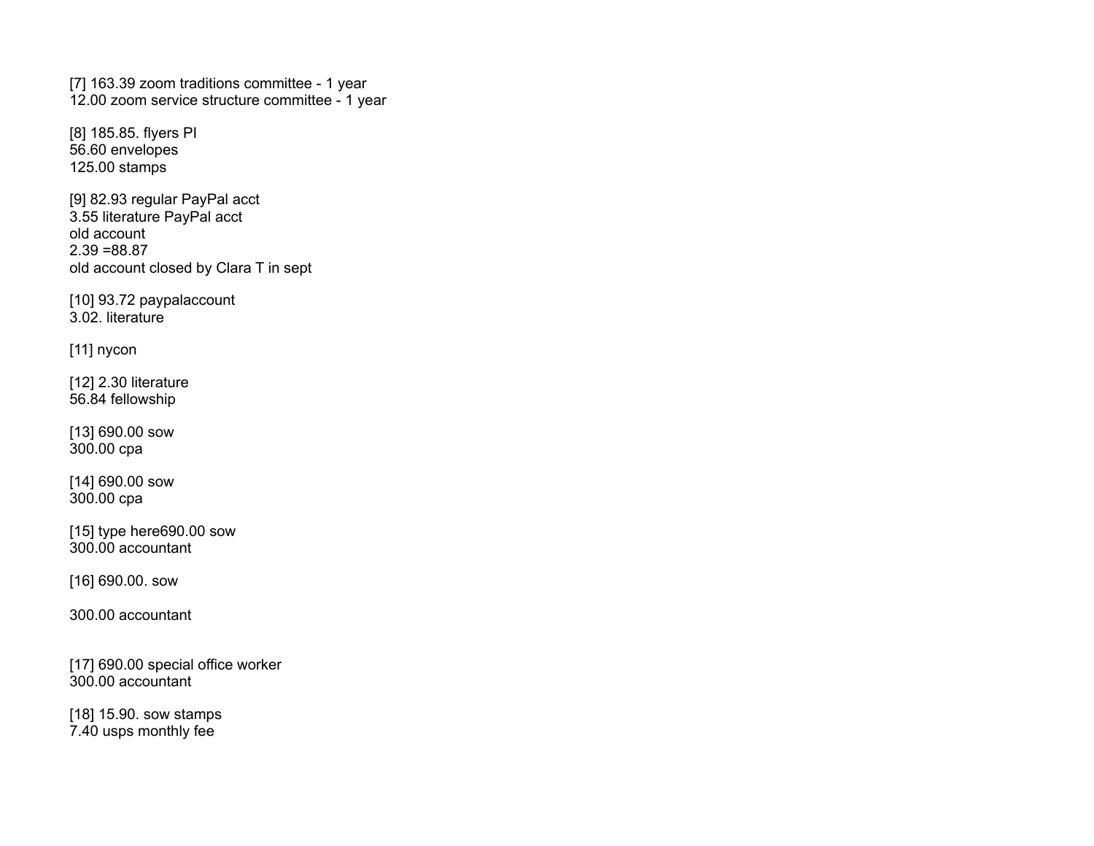[7] 163.39 zoom traditions committee - 1 year 12.00 zoom service structure committee - 1 year

[8] 185.85. flyers PI 56.60 envelopes 125.00 stamps

[9] 82.93 regular PayPal acct 3.55 literature PayPal acct old account  $2.39 = 88.87$ old account closed by Clara T in sept

[10] 93.72 paypalaccount 3.02. literature

[11] nycon

[12] 2.30 literature 56.84 fellowship

[13] 690.00 sow 300.00 cpa

[14] 690.00 sow 300.00 cpa

[15] type here690.00 sow 300.00 accountant

[16] 690.00. sow

300.00 accountant

[17] 690.00 special office worker 300.00 accountant

[18] 15.90. sow stamps 7.40 usps monthly fee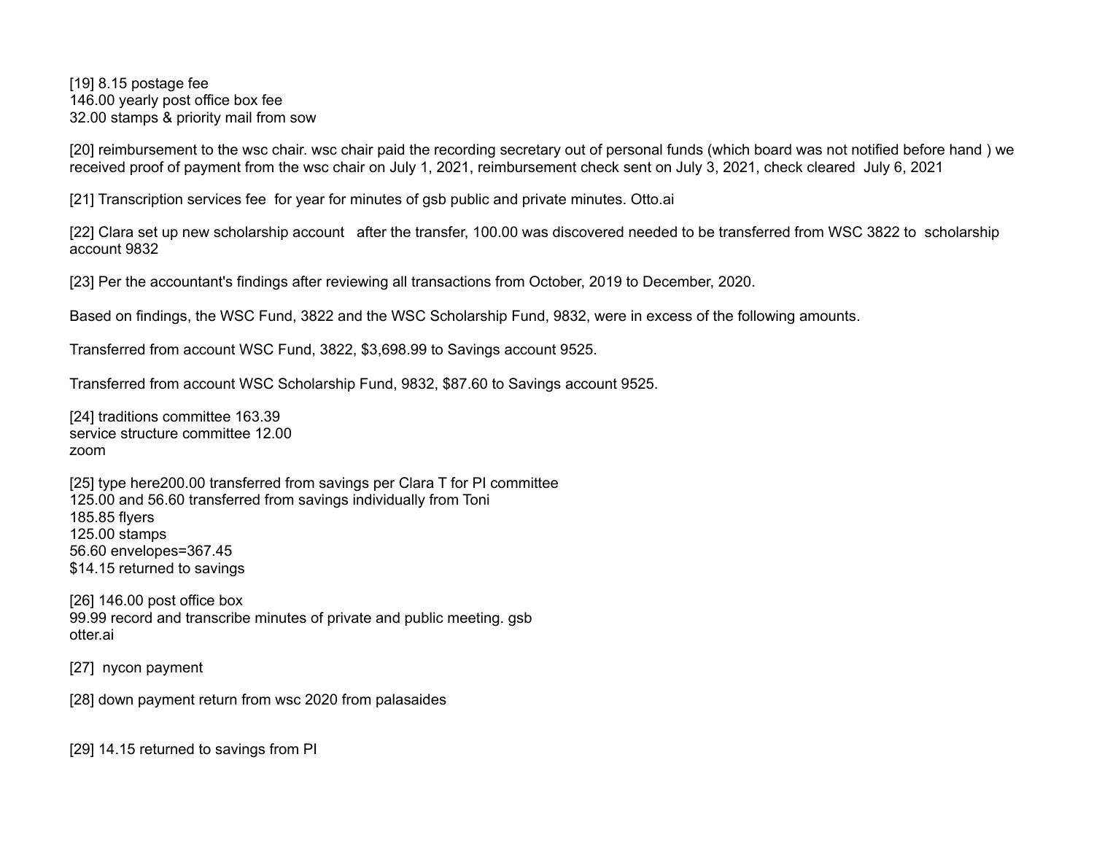[19] 8.15 postage fee 146.00 yearly post office box fee 32.00 stamps & priority mail from sow

[20] reimbursement to the wsc chair. wsc chair paid the recording secretary out of personal funds (which board was not notified before hand) we received proof of payment from the wsc chair on July 1, 2021, reimbursement check sent on July 3, 2021, check cleared July 6, 2021

[21] Transcription services fee for year for minutes of gsb public and private minutes. Otto.ai

[22] Clara set up new scholarship account after the transfer, 100.00 was discovered needed to be transferred from WSC 3822 to scholarship account 9832

[23] Per the accountant's findings after reviewing all transactions from October, 2019 to December, 2020.

Based on findings, the WSC Fund, 3822 and the WSC Scholarship Fund, 9832, were in excess of the following amounts.

Transferred from account WSC Fund, 3822, \$3,698.99 to Savings account 9525.

Transferred from account WSC Scholarship Fund, 9832, \$87.60 to Savings account 9525.

[24] traditions committee 163.39 service structure committee 12.00 zoom

[25] type here200.00 transferred from savings per Clara T for PI committee 125.00 and 56.60 transferred from savings individually from Toni 185.85 flyers 125.00 stamps 56.60 envelopes=367.45 \$14.15 returned to savings

[26] 146.00 post office box 99.99 record and transcribe minutes of private and public meeting. gsb otter.ai

[27] nycon payment

[28] down payment return from wsc 2020 from palasaides

[29] 14.15 returned to savings from PI